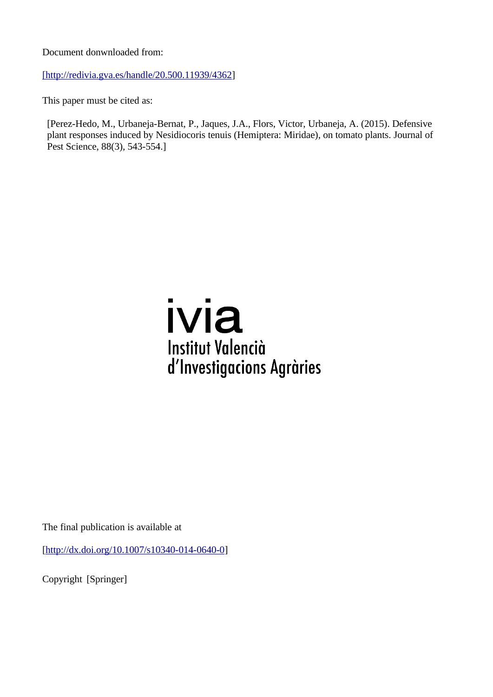Document donwnloaded from:

[http://redivia.gva.es/handle/20.500.11939/4362]

This paper must be cited as:

[Perez-Hedo, M., Urbaneja-Bernat, P., Jaques, J.A., Flors, Victor, Urbaneja, A. (2015). Defensive plant responses induced by Nesidiocoris tenuis (Hemiptera: Miridae), on tomato plants. Journal of Pest Science, 88(3), 543-554.]

# ivia **Institut Valencià** d'Investigacions Agràries

The final publication is available at

[\[http://dx.doi.org/10.1007/s10340-014-0640-0\]](http://dx.doi.org/10.1007/s10340-014-0640-0)

Copyright [Springer]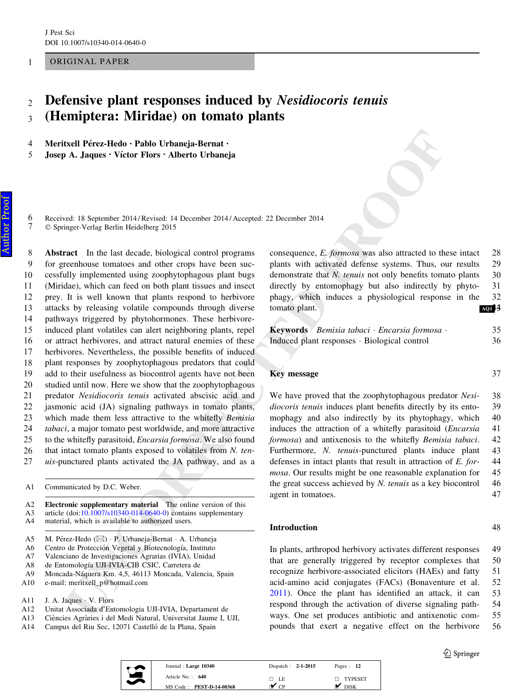### 1 ORIGINAL PAPER

## 2 Defensive plant responses induced by *Nesidiocoris tenuis* <sup>3</sup> (Hemiptera: Miridae) on tomato plants

4 Meritxell Pérez-Hedo · Pablo Urbaneja-Bernat ·

5 Josep A. Jaques · Víctor Flors · Alberto Urbaneja

6 Received: 18 September 2014/Revised: 14 December 2014/Accepted: 22 December 2014<br>7  $\odot$  Springer-Verlag Berlin Heidelberg 2015 Springer-Verlag Berlin Heidelberg 2015

**Excl.** Pérez-Hedo • Pablo Urbaneja-Bernat •<br>
A. Jaques • Victor Plors • Alberto Urbaneja i<br>
a. S. September 2014/Revised: 14 December 2014/Accepted: 22 December 2014<br>
a. S. September 2014/Revised: 14 December 2014/Accept Abstract In the last decade, biological control programs for greenhouse tomatoes and other crops have been suc- cessfully implemented using zoophytophagous plant bugs (Miridae), which can feed on both plant tissues and insect prey. It is well known that plants respond to herbivore attacks by releasing volatile compounds through diverse pathways triggered by phytohormones. These herbivore- induced plant volatiles can alert neighboring plants, repel or attract herbivores, and attract natural enemies of these herbivores. Nevertheless, the possible benefits of induced plant responses by zoophytophagous predators that could add to their usefulness as biocontrol agents have not been studied until now. Here we show that the zoophytophagous predator Nesidiocoris tenuis activated abscisic acid and jasmonic acid (JA) signaling pathways in tomato plants, which made them less attractive to the whitefly Bemisia *tabaci*, a major tomato pest worldwide, and more attractive to the whitefly parasitoid, Encarsia formosa. We also found 26 that intact tomato plants exposed to volatiles from N. ten-uis-punctured plants activated the JA pathway, and as a

| Communicated by D.C. Weber. |
|-----------------------------|
|                             |

A2 Electronic supplementary material The online version of this<br>A3 article  $(doi: 10.1007/s10340-014-0640-0)$  contains supplementary article (doi:10.1007/s10340-014-0640-0) contains supplementary A4 material, which is available to authorized users.

A5 M. Pérez-Hedo (⊠) · P. Urbaneja-Bernat · A. Urbaneja

A6 Centro de Protección Vegetal y Biotecnología, Instituto

- A7 Valenciano de Investigaciones Agrarias (IVIA), Unidad
- A8 de Entomología UJI-IVIA-CIB CSIC, Carretera de
- A9 Moncada-Na´quera Km. 4,5, 46113 Moncada, Valencia, Spain A10 e-mail: meritxell\_p@hotmail.com
- A<sub>11</sub> J. A. Jaques · V. Flors
- A12 Unitat Associada d'Entomologia UJI-IVIA, Departament de
- A13 Ciències Agràries i del Medi Natural, Universitat Jaume I, UJI,
- A14 Campus del Riu Sec, 12071 Castelló de la Plana, Spain



| Journal: Large 10340     | Dispatch: $2-1-2015$ | Pages: 12      |
|--------------------------|----------------------|----------------|
| Article No.: 640         | □ LE                 | $\Box$ TYPESET |
| MS Code: PEST-D-14-00368 | CP                   | <b>DISK</b>    |

consequence, E. formosa was also attracted to these intact 28 plants with activated defense systems. Thus, our results 29 demonstrate that *N. tenuis* not only benefits tomato plants 30 directly by entomophagy but also indirectly by phyto- 31 phagy, which induces a physiological response in the 32 tomato plant.  $AQ1$ <sup>3</sup>4

Keywords Bemisia tabaci · Encarsia formosa · 35 Induced plant responses - Biological control 36

#### Key message 37

We have proved that the zoophytophagous predator Nesi-38 diocoris tenuis induces plant benefits directly by its ento-<br>39 mophagy and also indirectly by its phytophagy, which 40 induces the attraction of a whitefly parasitoid (Encarsia 41 formosa) and antixenosis to the whitefly Bemisia tabaci. . 42 Furthermore, N. tenuis-punctured plants induce plant 43 defenses in intact plants that result in attraction of E. for- 44 mosa. Our results might be one reasonable explanation for 45 the great success achieved by  $N$ . *tenuis* as a key biocontrol  $46$ agent in tomatoes. 47

#### **Introduction** 48

In plants, arthropod herbivory activates different responses 49 that are generally triggered by receptor complexes that 50 recognize herbivore-associated elicitors (HAEs) and fatty 51 acid-amino acid conjugates (FACs) (Bonaventure et al. 52 2011). Once the plant has identified an attack, it can 53 respond through the activation of diverse signaling path- 54 ways. One set produces antibiotic and antixenotic com- 55 pounds that exert a negative effect on the herbivore 56

 $\textcircled{2}$  Springer

- 
- 
-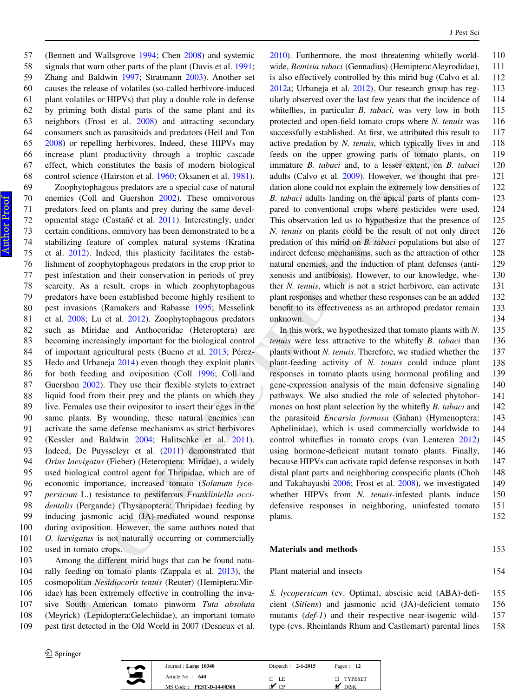(Bennett and Wallsgrove [1994](#page-10-0); Chen [2008\)](#page-11-0) and systemic 58 signals that warn other parts of the plant (Davis et al. [1991](#page-11-0); Zhang and Baldwin [1997](#page-12-0); Stratmann [2003\)](#page-11-0). Another set causes the release of volatiles (so-called herbivore-induced plant volatiles or HIPVs) that play a double role in defense by priming both distal parts of the same plant and its neighbors (Frost et al. [2008](#page-11-0)) and attracting secondary consumers such as parasitoids and predators (Heil and Ton [2008\)](#page-11-0) or repelling herbivores. Indeed, these HIPVs may increase plant productivity through a trophic cascade effect, which constitutes the basis of modern biological control science (Hairston et al. [1960;](#page-11-0) Oksanen et al. [1981](#page-11-0)).

mers such as parasticides and produces (Helina Tom successfully established. At initial or such as a part parameter produce in the super-growing intervents are plus to the super-growing and the super-growing and the super Zoophytophagous predators are a special case of natural enemies (Coll and Guershon [2002](#page-11-0)). These omnivorous predators feed on plants and prey during the same devel-72 opmental stage (Castañé et al.  $2011$ ). Interestingly, under certain conditions, omnivory has been demonstrated to be a stabilizing feature of complex natural systems (Kratina et al. [2012\)](#page-11-0). Indeed, this plasticity facilitates the estab- lishment of zoophytophagous predators in the crop prior to pest infestation and their conservation in periods of prey scarcity. As a result, crops in which zoophytophagous predators have been established become highly resilient to pest invasions (Ramakers and Rabasse 1995; Messelink et al. 2008; Lu et al. 2012). Zoophytophagous predators such as Miridae and Anthocoridae (Heteroptera) are becoming increasingly important for the biological control 84 of important agricultural pests (Bueno et al. 2013; Pérez- Hedo and Urbaneja 2014) even though they exploit plants for both feeding and oviposition (Coll 1996; Coll and Guershon 2002). They use their flexible stylets to extract liquid food from their prey and the plants on which they live. Females use their ovipositor to insert their eggs in the same plants. By wounding, these natural enemies can activate the same defense mechanisms as strict herbivores (Kessler and Baldwin 2004; Halitschke et al. 2011). Indeed, De Puysseleyr et al. (2011) demonstrated that Orius laevigatus (Fieber) (Heteroptera: Miridae), a widely used biological control agent for Thripidae, which are of economic importance, increased tomato (Solanum lyco-97 persicum L.) resistance to pestiferous Frankliniella occi- dentalis (Pergande) (Thysanoptera: Thripidae) feeding by inducing jasmonic acid (JA)-mediated wound response during oviposition. However, the same authors noted that 101 O. laevigatus is not naturally occurring or commercially used in tomato crops.

 Among the different mirid bugs that can be found natu- rally feeding on tomato plants (Zappala et al. 2013), the cosmopolitan Nesidiocoris tenuis (Reuter) (Hemiptera:Mir- idae) has been extremely effective in controlling the inva- sive South American tomato pinworm Tuta absoluta (Meyrick) (Lepidoptera:Gelechiidae), an important tomato pest first detected in the Old World in 2007 (Desneux et al.

<sup>2</sup> Springer



| Journal: Large 10340     | Dispatch: $2-1-2015$ | Pages: 12     |
|--------------------------|----------------------|---------------|
| Article No.: 640         | □ LE                 | TYPESET<br>п. |
| MS Code: PEST-D-14-00368 | $\cap$               | <b>DISK</b>   |

[2010\)](#page-11-0). Furthermore, the most threatening whitefly world- 110 wide, Bemisia tabaci (Gennadius) (Hemiptera:Aleyrodidae), 111 is also effectively controlled by this mirid bug (Calvo et al. 112 [2012a](#page-11-0); Urbaneja et al. [2012](#page-11-0)). Our research group has reg- 113 ularly observed over the last few years that the incidence of 114 whiteflies, in particular *B. tabaci*, was very low in both 115 protected and open-field tomato crops where N. tenuis was 116 successfully established. At first, we attributed this result to 117 active predation by  $N$ . tenuis, which typically lives in and 118 feeds on the upper growing parts of tomato plants, on 119 immature *B. tabaci* and, to a lesser extent, on *B. tabaci* 120 adults (Calvo et al. 2009). However, we thought that pre- 121 dation alone could not explain the extremely low densities of 122 B. tabaci adults landing on the apical parts of plants com- 123 pared to conventional crops where pesticides were used. 124 This observation led us to hypothesize that the presence of 125 N. tenuis on plants could be the result of not only direct 126 predation of this mirid on *B. tabaci* populations but also of 127 indirect defense mechanisms, such as the attraction of other 128 natural enemies, and the induction of plant defenses (anti- 129 xenosis and antibiosis). However, to our knowledge, whe- 130 ther *N. tenuis*, which is not a strict herbivore, can activate 131 plant responses and whether these responses can be an added 132 benefit to its effectiveness as an arthropod predator remain 133 unknown. 134

In this work, we hypothesized that tomato plants with  $N.$  135 tenuis were less attractive to the whitefly B. tabaci than 136 plants without *N. tenuis*. Therefore, we studied whether the 137 plant-feeding activity of N. tenuis could induce plant 138 responses in tomato plants using hormonal profiling and 139 gene-expression analysis of the main defensive signaling 140 pathways. We also studied the role of selected phytohor- 141 mones on host plant selection by the whitefly *B. tabaci* and 142 the parasitoid Encarsia formosa (Gahan) (Hymenoptera: 143 Aphelinidae), which is used commercially worldwide to 144 control whiteflies in tomato crops (van Lenteren [2012](#page-12-0) ) 145 using hormone-deficient mutant tomato plants. Finally, 146 because HIPVs can activate rapid defense responses in both 147 distal plant parts and neighboring conspecific plants (Choh 148) and Takabayashi [2006;](#page-11-0) Frost et al. [2008\)](#page-11-0), we investigated 149 whether HIPVs from N. tenuis-infested plants induce 150 defensive responses in neighboring, uninfested tomato 151 plants. 152

#### Materials and methods 153

Plant material and insects 154

S. lycopersicum (cv. Optima), abscisic acid (ABA)-defi- 155 cient (Sitiens) and jasmonic acid (JA)-deficient tomato 156 mutants (def-1) and their respective near-isogenic wild-<br>157 type (cvs. Rheinlands Rhum and Castlemart) parental lines 158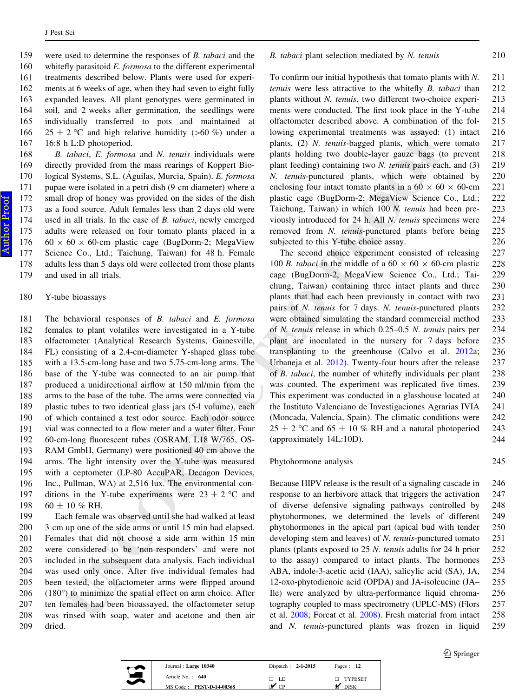were used to determine the responses of B. tabaci and the whitefly parasitoid E. formosa to the different experimental treatments described below. Plants were used for experi- ments at 6 weeks of age, when they had seven to eight fully expanded leaves. All plant genotypes were germinated in soil, and 2 weeks after germination, the seedlings were individually transferred to pots and maintained at 166  $\pm$  2 °C and high relative humidity (>60 %) under a 16:8 h L:D photoperiod.

168 B. tabaci, E. formosa and N. tenuis individuals were directly provided from the mass rearings of Koppert Bio-170 logical Systems, S.L. (Águilas, Murcia, Spain). E. formosa pupae were isolated in a petri dish (9 cm diameter) where a small drop of honey was provided on the sides of the dish as a food source. Adult females less than 2 days old were used in all trials. In the case of B. tabaci, newly emerged adults were released on four tomato plants placed in a  $\times$  60  $\times$  60-cm plastic cage (BugDorm-2; MegaView Science Co., Ltd.; Taichung, Taiwan) for 48 h. Female adults less than 5 days old were collected from those plants and used in all trials.

 The behavioral responses of B. tabaci and E. formosa females to plant volatiles were investigated in a Y-tube olfactometer (Analytical Research Systems, Gainesville, FL) consisting of a 2.4-cm-diameter Y-shaped glass tube with a 13.5-cm-long base and two 5.75-cm-long arms. The base of the Y-tube was connected to an air pump that produced a unidirectional airflow at 150 ml/min from the arms to the base of the tube. The arms were connected via plastic tubes to two identical glass jars (5-l volume), each of which contained a test odor source. Each odor source vial was connected to a flow meter and a water filter. Four 60-cm-long fluorescent tubes (OSRAM, L18 W/765, OS- RAM GmbH, Germany) were positioned 40 cm above the arms. The light intensity over the Y-tube was measured with a ceptometer (LP-80 AccuPAR, Decagon Devices, Inc., Pullman, WA) at 2,516 lux. The environmental con-197 ditions in the Y-tube experiments were  $23 \pm 2$  °C and 198  $60 \pm 10$  % RH.

 Each female was observed until she had walked at least 3 cm up one of the side arms or until 15 min had elapsed. Females that did not choose a side arm within 15 min were considered to be 'non-responders' and were not included in the subsequent data analysis. Each individual was used only once. After five individual females had been tested, the olfactometer arms were flipped around 206 (180°) to minimize the spatial effect on arm choice. After ten females had been bioassayed, the olfactometer setup was rinsed with soap, water and acetone and then air 209 dried.

#### B. tabaci plant selection mediated by N. tenuis 210

To confirm our initial hypothesis that tomato plants with  $N.$  211 tenuis were less attractive to the whitefly B. tabaci than 212 plants without N. tenuis, two different two-choice experi- 213 ments were conducted. The first took place in the Y-tube 214 olfactometer described above. A combination of the fol- 215 lowing experimental treatments was assayed: (1) intact 216 plants, (2) N. tenuis-bagged plants, which were tomato 217 plants holding two double-layer gauze bags (to prevent 218 plant feeding) containing two N. tenuis pairs each, and  $(3)$  219 N. tenuis-punctured plants, which were obtained by 220 enclosing four intact tomato plants in a  $60 \times 60 \times 60$ -cm 221 plastic cage (BugDorm-2; MegaView Science Co., Ltd.; 222 Taichung, Taiwan) in which 100 N. tenuis had been pre- 223 viously introduced for 24 h. All N. tenuis specimens were 224 removed from N. tenuis-punctured plants before being 225 subjected to this Y-tube choice assay. 226

2VG and the reality (260 %) under a<br>  $\frac{1}{2}$ C and its positive bunnidity (260 %) under a<br>  $\frac{1}{2}$ C and its positive bunnidity (260 %) under a<br> *nobust, Formoson basis*,  $\frac{1}{2}$ C and its positive spin sholing two con The second choice experiment consisted of releasing 227 100 *B. tabaci* in the middle of a  $60 \times 60 \times 60$ -cm plastic 228 cage (BugDorm-2, MegaView Science Co., Ltd.; Tai- 229 chung, Taiwan) containing three intact plants and three 230 plants that had each been previously in contact with two 231 pairs of *N. tenuis* for 7 days. *N. tenuis-punctured plants* 232 were obtained simulating the standard commercial method 233 of N. tenuis release in which 0.25–0.5 N. tenuis pairs per 234 plant are inoculated in the nursery for 7 days before 235 transplanting to the greenhouse (Calvo et al. [2012a](#page-11-0); 236 Urbaneja et al. [2012](#page-11-0)). Twenty-four hours after the release 237 of B. tabaci, the number of whitefly individuals per plant 238 was counted. The experiment was replicated five times. 239 This experiment was conducted in a glasshouse located at 240 the Instituto Valenciano de Investigaciones Agrarias IVIA 241 (Moncada, Valencia, Spain). The climatic conditions were 242  $25 \pm 2$  °C and  $65 \pm 10$  % RH and a natural photoperiod 243 (approximately 14L:10D). 244

#### Phytohormone analysis 245

Because HIPV release is the result of a signaling cascade in 246 response to an herbivore attack that triggers the activation 247 of diverse defensive signaling pathways controlled by 248 phytohormones, we determined the levels of different 249 phytohormones in the apical part (apical bud with tender 250 developing stem and leaves) of *N. tenuis-punctured tomato* 251 plants (plants exposed to 25 N. tenuis adults for 24 h prior 252 to the assay) compared to intact plants. The hormones 253 ABA, indole-3-acetic acid (IAA), salicylic acid (SA), JA, 254 12-oxo-phytodienoic acid (OPDA) and JA-isoleucine (JA– 255 Ile) were analyzed by ultra-performance liquid chroma- 256 tography coupled to mass spectrometry (UPLC-MS) (Flors 257 et al. 2008; Forcat et al. [2008](#page-11-0)). Fresh material from intact 258 and N. tenuis-punctured plants was frozen in liquid 259

176

| Journal: Large 10340     | Dispatch: 2-1-2015 | Pages: 12      |
|--------------------------|--------------------|----------------|
| Article No.: 640         | $\Box$ LE          | $\Box$ TYPESET |
| MS Code: PEST-D-14-00368 | r✔ cp              | <b>DISK</b>    |
|                          |                    |                |

2 Springer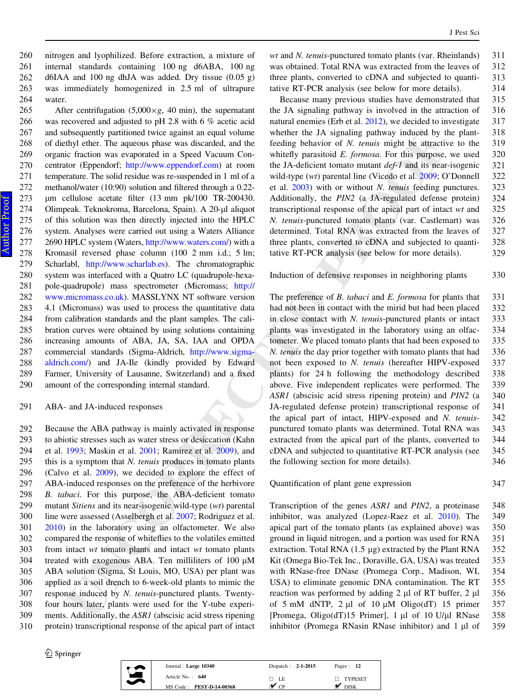Author ProofAuthor Proof

 nitrogen and lyophilized. Before extraction, a mixture of internal standards containing 100 ng d6ABA, 100 ng d6IAA and 100 ng dhJA was added. Dry tissue (0.05 g) was immediately homogenized in 2.5 ml of ultrapure 264 water.

become<br>thy entire of the space of the space of the space of the space of the space of the space of the space of<br>the space of the space of the space of the space of the space of the<br>space of the space of the space of the s 265 After centrifugation  $(5,000 \times g, 40 \text{ min})$ , the supernatant was recovered and adjusted to pH 2.8 with 6 % acetic acid and subsequently partitioned twice against an equal volume of diethyl ether. The aqueous phase was discarded, and the organic fraction was evaporated in a Speed Vacuum Con- centrator (Eppendorf; <http://www.eppendorf.com>) at room temperature. The solid residue was re-suspended in 1 ml of a methanol/water (10:90) solution and filtered through a 0.22- 273 lm cellulose acetate filter (13 mm pk/100 TR-200430. Olimpeak. Teknokroma, Barcelona, Spain). A 20- ll aliquot of this solution was then directly injected into the HPLC system. Analyses were carried out using a Waters Alliance 2690 HPLC system (Waters, <http://www.waters.com/>) with a Kromasil reversed phase column (100 2 mm i.d.; 5 lm; Scharlabl, <http://www.scharlab.es>). The chromatographic system was interfaced with a Quatro LC (quadrupole-hexa- pole-quadrupole) mass spectrometer (Micromass; [http://](http://www.micromass.co.uk) [www.micromass.co.uk\)](http://www.micromass.co.uk). MASSLYNX NT software version 4.1 (Micromass) was used to process the quantitative data from calibration standards and the plant samples. The cali- bration curves were obtained by using solutions containing increasing amounts of ABA, JA, SA, IAA and OPDA commercial standards (Sigma-Aldrich, http://www.sigma- [aldrich.com/](http://www.sigma-aldrich.com/)) and JA-Ile (kindly provided by Edward Farmer, University of Lausanne, Switzerland) and a fixed amount of the corresponding internal standard.

#### 291 ABA- and JA-induced responses

 Because the ABA pathway is mainly activated in response to abiotic stresses such as water stress or desiccation (Kahn et al. 1993; Maskin et al. 2001; Ramirez et al. 2009), and this is a symptom that *N. tenuis* produces in tomato plants (Calvo et al. 2009), we decided to explore the effect of ABA-induced responses on the preference of the herbivore B. tabaci. For this purpose, the ABA-deficient tomato mutant Sitiens and its near-isogenic wild-type (wt) parental line were assessed (Asselbergh et al. 2007; Rodriguez et al. [2010\)](#page-11-0) in the laboratory using an olfactometer. We also compared the response of whiteflies to the volatiles emitted from intact wt tomato plants and intact wt tomato plants 304 treated with exogenous ABA. Ten milliliters of 100 µM ABA solution (Sigma, St Louis, MO, USA) per plant was applied as a soil drench to 6-week-old plants to mimic the response induced by N. tenuis-punctured plants. Twenty- four hours later, plants were used for the Y-tube experi- ments. Additionally, the ASR1 (abscisic acid stress ripening protein) transcriptional response of the apical part of intact

2 Springer



wt and N. tenuis-punctured tomato plants (var. Rheinlands)  $311$ was obtained. Total RNA was extracted from the leaves of 312 three plants, converted to cDNA and subjected to quanti- 313 tative RT-PCR analysis (see below for more details). 314

Because many previous studies have demonstrated that 315 the JA signaling pathway is involved in the attraction of 316 natural enemies (Erb et al. [2012](#page-11-0)), we decided to investigate 317 whether the JA signaling pathway induced by the plant- 318 feeding behavior of N. tenuis might be attractive to the 319 whitefly parasitoid *E. formosa*. For this purpose, we used 320 the JA-deficient tomato mutant  $def-1$  and its near-isogenic 321 wild-type (wt) parental line (Vicedo et al. 2009; O'Donnell 322 et al. [2003](#page-11-0)) with or without N. tenuis feeding punctures. 323 Additionally, the PIN2 (a JA-regulated defense protein) 324 transcriptional response of the apical part of intact wt and 325 N. tenuis-punctured tomato plants (var. Castlemart) was 326 determined. Total RNA was extracted from the leaves of 327 three plants, converted to cDNA and subjected to quanti- 328 tative RT-PCR analysis (see below for more details). 329

#### Induction of defensive responses in neighboring plants 330

The preference of *B. tabaci* and *E. formosa* for plants that 331 had not been in contact with the mirid but had been placed 332 in close contact with N. tenuis-punctured plants or intact 333 plants was investigated in the laboratory using an olfac- 334 tometer. We placed tomato plants that had been exposed to 335 N. tenuis the day prior together with tomato plants that had 336 not been exposed to N. tenuis (hereafter HIPV-exposed 337 plants) for 24 h following the methodology described 338 above. Five independent replicates were performed. The 339 ASR1 (abscisic acid stress ripening protein) and PIN2 (a 340 JA-regulated defense protein) transcriptional response of 341 the apical part of intact, HIPV-exposed and N. tenuis - 342 punctured tomato plants was determined. Total RNA was 343 extracted from the apical part of the plants, converted to 344 cDNA and subjected to quantitative RT-PCR analysis (see 345 the following section for more details). 346

#### Quantification of plant gene expression 347

Transcription of the genes ASR1 and PIN2, a proteinase 348 inhibitor, was analyzed (Lopez-Raez et al. [2010](#page-11-0)). The 349 apical part of the tomato plants (as explained above) was 350 ground in liquid nitrogen, and a portion was used for RNA 351 extraction. Total RNA  $(1.5 \mu g)$  extracted by the Plant RNA  $352$ Kit (Omega Bio-Tek Inc., Doraville, GA, USA) was treated 353 with RNase-free DNase (Promega Corp., Madison, WI, 354 USA) to eliminate genomic DNA contamination. The RT 355 reaction was performed by adding  $2 \mu l$  of RT buffer,  $2 \mu$ l 356 of 5 mM dNTP,  $2 \mu l$  of 10  $\mu$ M Oligo(dT) 15 primer 357 [Promega, Oligo(dT)15 Primer], 1 µl of 10 U/µl RNase 358 inhibitor (Promega RNasin RNase inhibitor) and  $1 \mu$ l of 359

| Journal: Large 10340            | Dispatch: $2-1-2015$ | Pages: 12      |
|---------------------------------|----------------------|----------------|
| Article No.: 640                | $\Box$ LE            | <b>TYPESET</b> |
| MS Code: <b>PEST-D-14-00368</b> | $\overline{CP}$      | <b>DISK</b>    |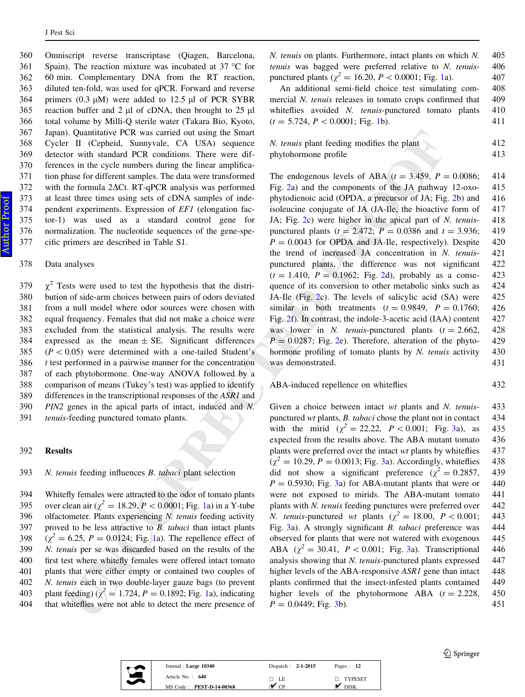Omniscript reverse transcriptase (Qiagen, Barcelona, Spain). The reaction mixture was incubated at 37 C for 60 min. Complementary DNA from the RT reaction, diluted ten-fold, was used for qPCR. Forward and reverse 364 primers  $(0.3 \mu M)$  were added to 12.5  $\mu$ l of PCR SYBR 365 reaction buffer and 2  $\mu$ l of cDNA, then brought to 25  $\mu$ l total volume by Milli-Q sterile water (Takara Bio, Kyoto, Japan). Quantitative PCR was carried out using the Smart Cycler II (Cepheid, Sunnyvale, CA USA) sequence detector with standard PCR conditions. There were dif- ferences in the cycle numbers during the linear amplifica- tion phase for different samples. The data were transformed 372 with the formula  $2\Delta$ Ct. RT-qPCR analysis was performed at least three times using sets of cDNA samples of inde- pendent experiments. Expression of EF1 (elongation fac- tor-1) was used as a standard control gene for normalization. The nucleotide sequences of the gene-spe-cific primers are described in Table S1.

#### 378 Data analyses

379  $\chi^2$  Tests were used to test the hypothesis that the distri-380 bution of side-arm choices between pairs of odors deviated 381 from a null model where odor sources were chosen with 382 equal frequency. Females that did not make a choice were 383 excluded from the statistical analysis. The results were 384 expressed as the mean  $\pm$  SE. Significant differences 385  $(P < 0.05)$  were determined with a one-tailed Student's 386 t test performed in a pairwise manner for the concentration 387 of each phytohormone. One-way ANOVA followed by a 388 comparison of means (Tukey's test) was applied to identify 389 differences in the transcriptional responses of the ASR1 and 390 PIN2 genes in the apical parts of intact, induced and N. 391 tenuis-feeding punctured tomato plants.

#### 392 Results

#### 393 N. tenuis feeding influences B. tabaci plant selection

 Whitefly females were attracted to the odor of tomato plants 395 over clean air  $\chi^2 = 18.29, P < 0.0001$ ; Fig. 1a) in a Y-tube olfactometer. Plants experiencing N. tenuis feeding activity proved to be less attractive to *B. tabaci* than intact plants 398  $(\chi^2 = 6.25, P = 0.0124;$  Fig. 1a). The repellence effect of N. tenuis per se was discarded based on the results of the first test where whitefly females were offered intact tomato plants that were either empty or contained two couples of N. tenuis each in two double-layer gauze bags (to prevent 403 plant feeding)  $\chi^2 = 1.724$ ,  $P = 0.1892$ ; Fig. 1a), indicating that whiteflies were not able to detect the mere presence of

An additional semi-field choice test simulating com- 408 mercial N. tenuis releases in tomato crops confirmed that 409 whiteflies avoided N. tenuis-punctured tomato plants 410  $(t = 5.724, P < 0.0001;$  Fig. [1b](#page-6-0)). 411

| <i>N. tenuis</i> plant feeding modifies the plant | 412 |
|---------------------------------------------------|-----|
| phytohormone profile                              | 413 |

The endogenous levels of ABA  $(t = 3.459, P = 0.0086;$  414 Fig. [2](#page-7-0)a) and the components of the JA pathway 12-oxo- 415 phytodienoic acid (OPDA, a precursor of JA; Fig. [2](#page-7-0)b) and 416 isoleucine conjugate of JA (JA-Ile, the bioactive form of 417 JA; Fig. [2](#page-7-0)c) were higher in the apical part of N. tenuis - 418 punctured plants  $(t = 2.472; P = 0.0386$  and  $t = 3.936;$  419  $P = 0.0043$  for OPDA and JA-Ile, respectively). Despite 420 the trend of increased JA concentration in N. tenuis - 421 punctured plants, the difference was not significant 422  $(t = 1.410, P = 0.1962;$  Fig. 2d), probably as a conse- 423 quence of its conversion to other metabolic sinks such as 424 JA-Ile (Fig. 2c). The levels of salicylic acid (SA) were 425 similar in both treatments  $(t = 0.9849, P = 0.1760; 426$ Fig. 2f). In contrast, the indole-3-acetic acid (IAA) content 427 was lower in *N. tenuis-punctured plants*  $(t = 2.662, 428)$  $P = 0.0287$  $P = 0.0287$  $P = 0.0287$ ; Fig. 2e). Therefore, alteration of the phyto- 429 hormone profiling of tomato plants by N. tenuis activity 430 was demonstrated. 431

#### ABA-induced repellence on whiteflies 432

). Outside P[C](#page-6-0)R was carried out single S fants to example the space of evolve single to which satisfy  $P = 0.004$  for  $P = 0.004$  for  $P = 0.004$  for  $P = 0.004$  for  $P = 0.004$  for  $P = 0.004$  for  $P = 0.004$  for  $P = 0.004$  for Given a choice between intact wt plants and N. tenuis-- 433 punctured wt plants, B. tabaci chose the plant not in contact 434 with the mirid ( $\chi^2 = 22.22$ ,  $P < 0.001$ ; Fig. [3a](#page-8-0)), as 435 expected from the results above. The ABA mutant tomato 436 plants were preferred over the intact wt plants by whiteflies 437  $(\chi^2 = 10.29, P = 0.0013;$  $(\chi^2 = 10.29, P = 0.0013;$  $(\chi^2 = 10.29, P = 0.0013;$  Fig. 3a). Accordingly, whiteflies 438 did not show a significant preference ( $\chi^2 = 0.2857$ , 439  $P = 0.5930$ ; Fig. [3a](#page-8-0)) for ABA-mutant plants that were or 440 were not exposed to mirids. The ABA-mutant tomato 441 plants with N. tenuis feeding punctures were preferred over 442 *N. tenuis-punctured wt plants*  $(\chi^2 = 18.00, P < 0.001;$  443 Fig. 3a). A strongly significant B. tabaci preference was 444 observed for plants that were not watered with exogenous 445 ABA  $(\chi^2 = 30.41, P < 0.001;$  $(\chi^2 = 30.41, P < 0.001;$  $(\chi^2 = 30.41, P < 0.001;$  Fig. 3a). Transcriptional 446 analysis showing that *N. tenuis-punctured plants expressed* 447 higher levels of the ABA-responsive *ASR1* gene than intact 448 plants confirmed that the insect-infested plants contained 449 higher levels of the phytohormone ABA  $(t = 2.228, 450)$  $P = 0.0449;$  Fig. [3](#page-8-0)b). 451



| Journal: Large 10340     | Dispatch: $2-1-2015$ | Pages: 12      |
|--------------------------|----------------------|----------------|
| Article No.: $640$       | $\Box$ LE            | $\Box$ TYPESET |
| MS Code: PEST-D-14-00368 | $\overline{CP}$      | <b>DISK</b>    |

<sup>2</sup> Springer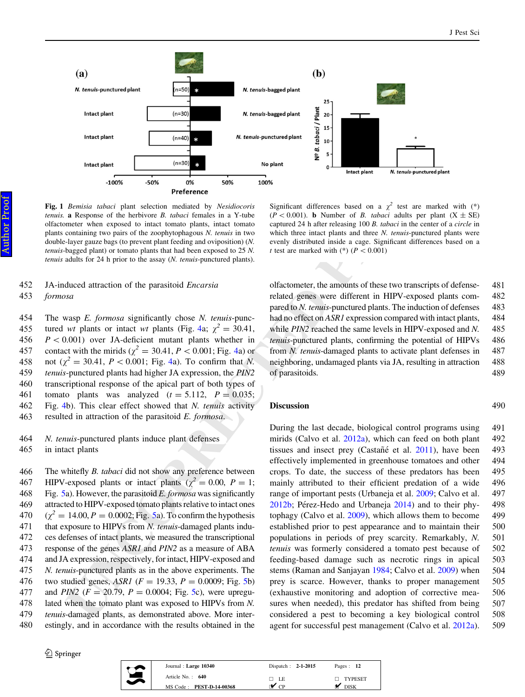<span id="page-6-0"></span>

Fig. 1 Bemisia tabaci plant selection mediated by Nesidiocoris tenuis. a Response of the herbivore B. tabaci females in a Y-tube olfactometer when exposed to intact tomato plants, intact tomato plants containing two pairs of the zoophytophagous N. tenuis in two double-layer gauze bags (to prevent plant feeding and oviposition) (N. tenuis-bagged plant) or tomato plants that had been exposed to 25 N. tenuis adults for 24 h prior to the assay (N. tenuis-punctured plants).

#### 453 452 formosa JA-induced attraction of the parasitoid Encarsia

454 The wasp E. formosa significantly chose N. tenuis-punc-455 tured wt plants or intact wt plants (Fig. 4a;  $\chi^2 = 30.41$ , 456  $P < 0.001$ ) over JA-deficient mutant plants whether in 457 contact with the mirids ( $\chi^2 = 30.41, P < 0.001$ ; Fig. 4a) or 458 not  $\left(\chi^2 = 30.41, P < 0.001\right)$ ; Fig. 4a). To confirm that N. 459 tenuis-punctured plants had higher JA expression, the PIN2 460 transcriptional response of the apical part of both types of 461 tomato plants was analyzed  $(t = 5.112, P = 0.035;$ [4](#page-8-0)62 Fig. 4b). This clear effect showed that N. tenuis activity 463 resulted in attraction of the parasitoid E. formosa.

464 *N. tenuis-punctured plants induce plant defenses* 465 in intact plants

used attraction of the parasitoid *Encyclencial*<br>
was related geness were distant of the attaction of the parameter, the annot predictor  $N$ . *tenuis*-puns<br>
was related geness were distant with parts of the signal of the 466 The whitefly *B. tabaci* did not show any preference between 467 HIPV-exposed plants or intact plants ( $\chi^2 = 0.00$ ,  $P = 1$ ; 468 Fig. [5](#page-9-0)a). However, the parasitoid E. formosa was significantly 469 attracted to HIPV-exposed tomato plants relative to intact ones 470  $\left(\chi^2 = 14.00, P = 0.0002; \text{Fig. 5a}.$  To confirm the hypothesis 471 that exposure to HIPVs from N. tenuis-damaged plants indu-472 ces defenses of intact plants, we measured the transcriptional 473 response of the genes ASR1 and PIN2 as a measure of ABA 474 and JA expression, respectively, for intact, HIPV-exposed and 475 *N. tenuis-punctured plants as in the above experiments. The* 476 two studied genes, *ASR1* ( $F = 19.33, P = 0.0009$ ; Fig. 5b) 477 and *PIN2* ( $F = 20.79$ ,  $P = 0.0004$ ; Fig. 5c), were upregu-478 lated when the tomato plant was exposed to HIPVs from N. 479 tenuis-damaged plants, as demonstrated above. More inter-480 estingly, and in accordance with the results obtained in the

 $\circled{2}$  Springer

Significant differences based on a  $\chi^2$  test are marked with (\*)  $(P < 0.001)$ . **b** Number of *B. tabaci* adults per plant  $(X \pm SE)$ captured 24 h after releasing 100 B. tabaci in the center of a circle in which three intact plants and three N. tenuis-punctured plants were evenly distributed inside a cage. Significant differences based on a t test are marked with (\*) ( $P < 0.001$ )

olfactometer, the amounts of these two transcripts of defense- 481 related genes were different in HIPV-exposed plants com- 482 pared to *N. tenuis*-punctured plants. The induction of defenses 483 had no effect on *ASR1* expression compared with intact plants, 484 while *PIN2* reached the same levels in HIPV-exposed and N. 485 tenuis-punctured plants, confirming the potential of HIPVs 486 from *N. tenuis*-damaged plants to activate plant defenses in 487 neighboring, undamaged plants via JA, resulting in attraction 488 of parasitoids. 489

#### Discussion 490

During the last decade, biological control programs using 491 mirids (Calvo et al.  $2012a$ ), which can feed on both plant 492 tissues and insect prey (Castañé et al. [2011\)](#page-11-0), have been 493 effectively implemented in greenhouse tomatoes and other 494 crops. To date, the success of these predators has been 495 mainly attributed to their efficient predation of a wide 496 range of important pests (Urbaneja et al. [2009](#page-11-0); Calvo et al. 497 2012b; Pérez-Hedo and Urbaneja [2014](#page-11-0)) and to their phy- 498 tophagy (Calvo et al. [2009](#page-10-0)), which allows them to become 499 established prior to pest appearance and to maintain their 500 populations in periods of prey scarcity. Remarkably, N. 501 tenuis was formerly considered a tomato pest because of 502 feeding-based damage such as necrotic rings in apical 503 stems (Raman and Sanjayan [1984](#page-11-0); Calvo et al. [2009\)](#page-10-0) when 504 prey is scarce. However, thanks to proper management 505 (exhaustive monitoring and adoption of corrective mea- 506 sures when needed), this predator has shifted from being 507 considered a pest to becoming a key biological control 508 agent for successful pest management (Calvo et al. [2012a](#page-11-0)). 509

| Journal: Large 10340 |
|----------------------|
| Article No.: 640     |
| MS Code: PEST-D      |

| Journal: Large 10340     | Dispatch: $2-1-2015$ | Pages: 12         |
|--------------------------|----------------------|-------------------|
| Article No.: 640         | $\Box$ LE            | $\Box$ TYPESET    |
| MS Code: PEST-D-14-00368 | r✔ cp                | $\mathbf{M}$ disk |
|                          |                      |                   |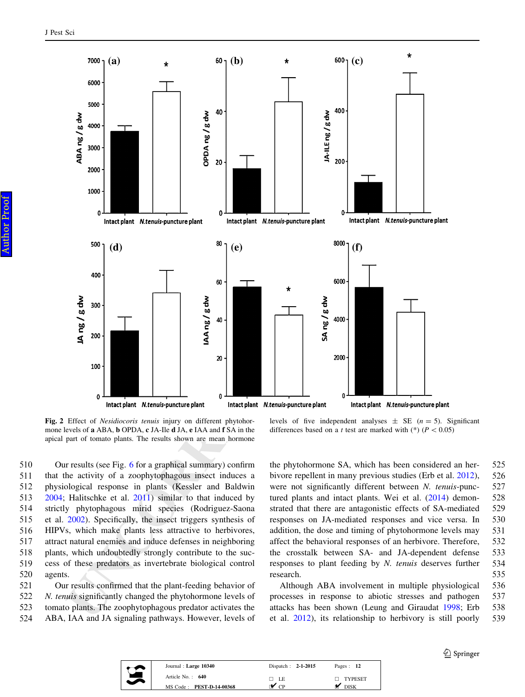<span id="page-7-0"></span>

Fig. 2 Effect of Nesidiocoris tenuis injury on different phytohormone levels of a ABA, b OPDA, c JA-Ile d JA, e IAA and f SA in the apical part of tomato plants. The results shown are mean hormone

levels of five independent analyses  $\pm$  SE ( $n = 5$ ). Significant differences based on a *t* test are marked with  $(*)$  ( $P < 0.05$ )

510 Our results (see Fig. 6 for a graphical summary) confirm that the activity of a zoophytophagous insect induces a physiological response in plants (Kessler and Baldwin [2004;](#page-11-0) Halitschke et al. 2011) similar to that induced by strictly phytophagous mirid species (Rodriguez-Saona et al. 2002). Specifically, the insect triggers synthesis of HIPVs, which make plants less attractive to herbivores, attract natural enemies and induce defenses in neighboring plants, which undoubtedly strongly contribute to the suc- cess of these predators as invertebrate biological control 520 agents.

 Our results confirmed that the plant-feeding behavior of 522 N. tenuis significantly changed the phytohormone levels of tomato plants. The zoophytophagous predator activates the ABA, IAA and JA signaling pathways. However, levels of the phytohormone SA, which has been considered an her- 525 bivore repellent in many previous studies (Erb et al. [2012](#page-11-0)), 526 were not significantly different between N. tenuis-punc- 527 tured plants and intact plants. Wei et al. ([2014\)](#page-12-0) demon- 528 strated that there are antagonistic effects of SA-mediated 529 responses on JA-mediated responses and vice versa. In 530 addition, the dose and timing of phytohormone levels may 531 affect the behavioral responses of an herbivore. Therefore, 532 the crosstalk between SA- and JA-dependent defense 533 responses to plant feeding by N. tenuis deserves further 534 research. 535

Although ABA involvement in multiple physiological 536 processes in response to abiotic stresses and pathogen 537 attacks has been shown (Leung and Giraudat [1998](#page-11-0); Erb 538 et al. [2012\)](#page-11-0), its relationship to herbivory is still poorly 539



| Journal: Large 10340     | Dispatch: $2-1-2015$ | Pages: 12   |
|--------------------------|----------------------|-------------|
| Article No.: 640         | □ LE                 | TYPESET     |
| MS Code: PEST-D-14-00368 |                      | <b>DISK</b> |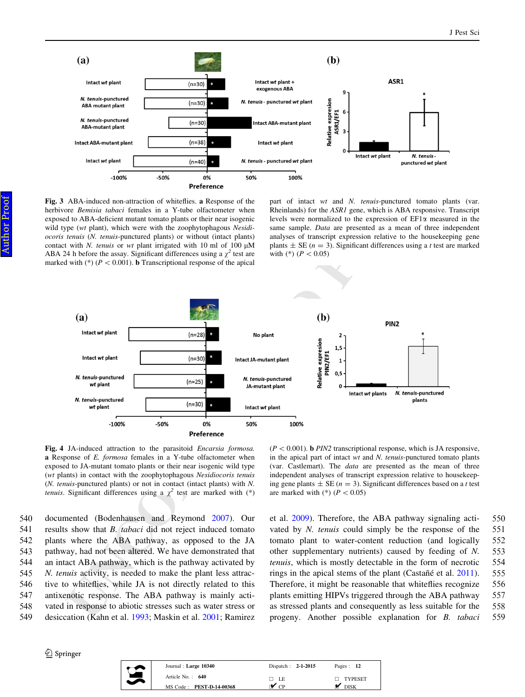<span id="page-8-0"></span>

Fig. 3 ABA-induced non-attraction of whiteflies. a Response of the herbivore Bemisia tabaci females in a Y-tube olfactometer when exposed to ABA-deficient mutant tomato plants or their near isogenic wild type (wt plant), which were with the zoophytophagous Nesidiocoris tenuis (N. tenuis-punctured plants) or without (intact plants) contact with N. tenuis or wt plant irrigated with 10 ml of 100  $\mu$ M ABA 24 h before the assay. Significant differences using a  $\chi^2$  test are marked with  $(*)$  ( $P < 0.001$ ). **b** Transcriptional response of the apical

part of intact wt and N. tenuis-punctured tomato plants (var. Rheinlands) for the ASR1 gene, which is ABA responsive. Transcript levels were normalized to the expression of EF1 a measured in the same sample. Data are presented as a mean of three independent analyses of transcript expression relative to the housekeeping gene plants  $\pm$  SE (*n* = 3). Significant differences using a *t* test are marked with  $(*) (P < 0.05)$ 



Fig. 4 JA-induced attraction to the parasitoid Encarsia formosa. a Response of E. formosa females in a Y-tube olfactometer when exposed to JA-mutant tomato plants or their near isogenic wild type (wt plants) in contact with the zoophytophagous Nesidiocoris tenuis (N. tenuis-punctured plants) or not in contact (intact plants) with N. tenuis. Significant differences using a  $\chi^2$  test are marked with (\*)

 $(P < 0.001)$ . **b** PIN2 transcriptional response, which is JA responsive, in the apical part of intact wt and N. tenuis-punctured tomato plants (var. Castlemart). The data are presented as the mean of three independent analyses of transcript expression relative to housekeeping gene plants  $\pm$  SE (*n* = 3). Significant differences based on a *t* test are marked with  $(*)$   $(P < 0.05)$ 

 documented (Bodenhausen and Reymond 2007). Our 541 results show that *B. tabaci* did not reject induced tomato plants where the ABA pathway, as opposed to the JA pathway, had not been altered. We have demonstrated that an intact ABA pathway, which is the pathway activated by N. tenuis activity, is needed to make the plant less attrac- tive to whiteflies, while JA is not directly related to this antixenotic response. The ABA pathway is mainly acti- vated in response to abiotic stresses such as water stress or desiccation (Kahn et al. [1993;](#page-11-0) Maskin et al. [2001;](#page-11-0) Ramirez

 $\textcircled{2}$  Springer

| ◚ | Journal: Large 10340     | Dispatch: $2-1-2015$ | Pages: 12   |
|---|--------------------------|----------------------|-------------|
|   | Article No.: 640         | - LE<br>$\Box$       | TYPESET     |
|   | MS Code: PEST-D-14-00368 | CD                   | <b>DISK</b> |

et al. 2009). Therefore, the ABA pathway signaling acti- 550 vated by N. tenuis could simply be the response of the 551 tomato plant to water-content reduction (and logically 552 other supplementary nutrients) caused by feeding of N. 553 tenuis, which is mostly detectable in the form of necrotic 554 rings in the apical stems of the plant (Castañé et al. [2011](#page-11-0)). 555 Therefore, it might be reasonable that whiteflies recognize 556 plants emitting HIPVs triggered through the ABA pathway 557 as stressed plants and consequently as less suitable for the 558 progeny. Another possible explanation for B. tabaci 559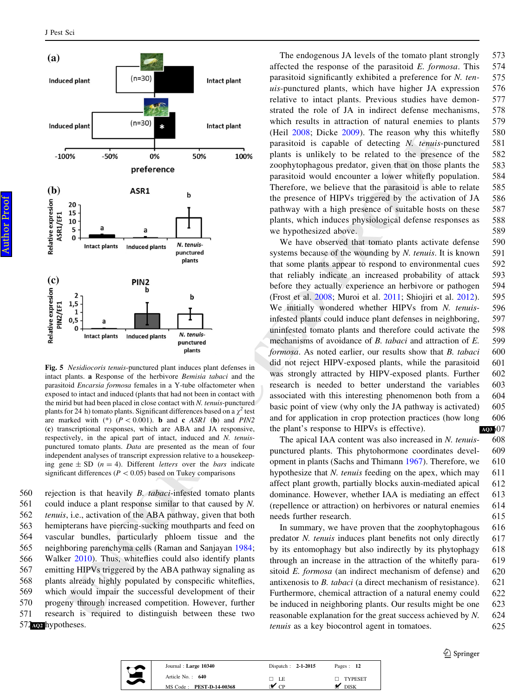<span id="page-9-0"></span>

Fig. 5 Nesidiocoris tenuis-punctured plant induces plant defenses in intact plants. a Response of the herbivore Bemisia tabaci and the parasitoid Encarsia formosa females in a Y-tube olfactometer when exposed to intact and induced (plants that had not been in contact with the mirid but had been placed in close contact with  $N$ . tenuis-punctured plants for 24 h) tomato plants. Significant differences based on a  $\chi^2$  test are marked with  $(*)$   $(P < 0.001)$ . **b** and **c** ASR1 (**b**) and PIN2 ( c) transcriptional responses, which are ABA and JA responsive, respectively, in the apical part of intact, induced and N. tenuispunctured tomato plants. Data are presented as the mean of four independent analyses of transcript expression relative to a housekeeping gene  $\pm$  SD (*n* = 4). Different *letters* over the *bars* indicate significant differences ( $P < 0.05$ ) based on Tukey comparisons

 rejection is that heavily B. tabaci-infested tomato plants could induce a plant response similar to that caused by N. tenuis, i.e., activation of the ABA pathway, given that both hemipterans have piercing-sucking mouthparts and feed on vascular bundles, particularly phloem tissue and the neighboring parenchyma cells (Raman and Sanjayan 1984 ; Walker 2010). Thus, whiteflies could also identify plants emitting HIPVs triggered by the ABA pathway signaling as plants already highly populated by conspecific whiteflies, which would impair the successful development of their progeny through increased competition. However, further research is required to distinguish between these two 572 AQ2 hypotheses.

The endogenous JA levels of the tomato plant strongly 573 affected the response of the parasitoid  $E$ . formosa. This 574 parasitoid significantly exhibited a preference for N. ten- 575 uis-punctured plants, which have higher JA expression 576 relative to intact plants. Previous studies have demon- 577 strated the role of JA in indirect defense mechanisms, 578 which results in attraction of natural enemies to plants 579 (Heil [2008;](#page-11-0) Dicke [2009](#page-11-0)). The reason why this whitefly 580 parasitoid is capable of detecting N. tenuis-punctured 581 plants is unlikely to be related to the presence of the 582 zoophytophagous predator, given that on those plants the 583 parasitoid would encounter a lower whitefly population. 584 Therefore, we believe that the parasitoid is able to relate 585 the presence of HIPVs triggered by the activation of JA 586 pathway with a high presence of suitable hosts on these 587 plants, which induces physiological defense responses as 588 we hypothesized above. 589

We have observed that tomato plants activate defense 590 systems because of the wounding by N. tenuis. It is known 591 that some plants appear to respond to environmental cues 592 that reliably indicate an increased probability of attack 593 before they actually experience an herbivore or pathogen 594 (Frost et al. [2008](#page-11-0); Muroi et al. [2011](#page-11-0); Shiojiri et al. [2012](#page-11-0)). 595 We initially wondered whether HIPVs from N. tenuis-- 596 infested plants could induce plant defenses in neighboring, 597 uninfested tomato plants and therefore could activate the 598 mechanisms of avoidance of *B. tabaci* and attraction of *E.* 599 formosa. As noted earlier, our results show that B. tabaci 600 did not reject HIPV-exposed plants, while the parasitoid 601 was strongly attracted by HIPV-exposed plants. Further 602 research is needed to better understand the variables 603 associated with this interesting phenomenon both from a 604 basic point of view (why only the JA pathway is activated) 605 and for application in crop protection practices (how long 606 the plant's response to HIPVs is effective).  $A$ Q3 $507$ 

The apical IAA content was also increased in N. tenuis-- 608 punctured plants. This phytohormone coordinates devel- 609 opment in plants (Sachs and Thimann [1967\)](#page-11-0). Therefore, we 610 hypothesize that *N. tenuis* feeding on the apex, which may 611 affect plant growth, partially blocks auxin-mediated apical 612 dominance. However, whether IAA is mediating an effect 613 (repellence or attraction) on herbivores or natural enemies 614 needs further research. 615

In summary, we have proven that the zoophytophagous 616 predator *N. tenuis* induces plant benefits not only directly 617 by its entomophagy but also indirectly by its phytophagy 618 through an increase in the attraction of the whitefly para- 619 sitoid *E. formosa* (an indirect mechanism of defense) and 620 antixenosis to B. tabaci (a direct mechanism of resistance). 621 Furthermore, chemical attraction of a natural enemy could 622 be induced in neighboring plants. Our results might be one 623 reasonable explanation for the great success achieved by N. 624 tenuis as a key biocontrol agent in tomatoes. 625



| Journal: Large 10340     | Dispatch : 2-1-2015 | Pages: 12      |
|--------------------------|---------------------|----------------|
| Article No.: 640         | $\Box$ LE           | $\Box$ TYPESET |
| MS Code: PEST-D-14-00368 | r✔ cp               | $\sim$ disk    |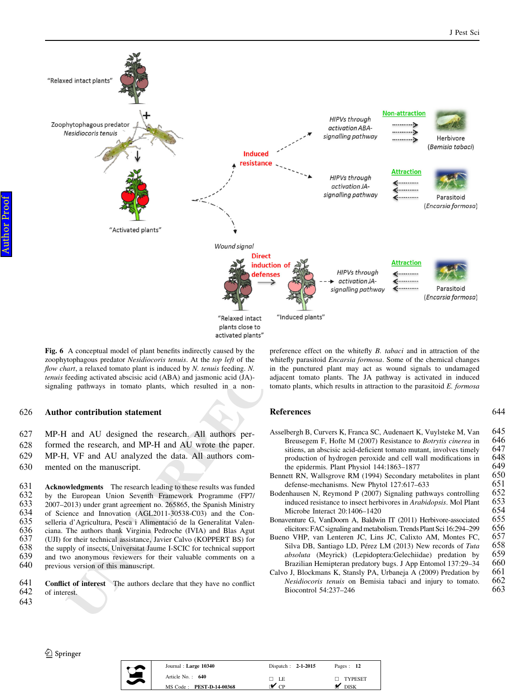<span id="page-10-0"></span>

Fig. 6 A conceptual model of plant benefits indirectly caused by the zoophytophagous predator Nesidiocoris tenuis. At the top left of the flow chart, a relaxed tomato plant is induced by  $N$ . tenuis feeding.  $N$ . tenuis feeding activated abscisic acid (ABA) and jasmonic acid (JA) signaling pathways in tomato plants, which resulted in a non-

#### 626 Author contribution statement

 MP-H and AU designed the research. All authors per- formed the research, and MP-H and AU wrote the paper. MP-H, VF and AU analyzed the data. All authors com-mented on the manuscript.

631 **Acknowledgments** The research leading to these results was funded 632 by the European Union Seventh Framework Programme (FP7/ 632 by the European Union Seventh Framework Programme (FP7/633 2007–2013) under grant agreement no. 265865, the Spanish Ministry 633 2007–2013) under grant agreement no. 265865, the Spanish Ministry<br>634 of Science and Innovation (AGL2011-30538-C03) and the Con-634 of Science and Innovation (AGL2011-30538-C03) and the Con-<br>635 selleria d'Agricultura Pesca i Alimentació de la Generalitat Valen-635 selleria d'Agricultura, Pesca i Alimentació de la Generalitat Valen-<br>636 ciana. The authors thank Virginia Pedroche (IVIA) and Blas Agut 636 ciana. The authors thank Virginia Pedroche (IVIA) and Blas Agut 637 (UJI) for their technical assistance. Javier Calvo (KOPPERT BS) for  $637$  (UJI) for their technical assistance, Javier Calvo (KOPPERT BS) for the supply of insects. Universitat Jaume I-SCIC for technical support 638 the supply of insects, Universitat Jaume I-SCIC for technical support 639 and two anonymous reviewers for their valuable comments on a 639 and two anonymous reviewers for their valuable comments on a 640 previous version of this manuscript. previous version of this manuscript.

|     | 642 of interest. | 641 Conflict of interest The authors declare that they have no conflict |
|-----|------------------|-------------------------------------------------------------------------|
| 643 |                  |                                                                         |

preference effect on the whitefly B. tabaci and in attraction of the whitefly parasitoid *Encarsia formosa*. Some of the chemical changes in the punctured plant may act as wound signals to undamaged adjacent tomato plants. The JA pathway is activated in induced tomato plants, which results in attraction to the parasitoid E. formosa

#### References 644

- Asselbergh B, Curvers K, Franca SC, Audenaert K, Vuylsteke M, Van 645<br>Breusegem F, Hofte M (2007) Resistance to *Botrytis cinerea* in 646 Breusegem F, Hofte M (2007) Resistance to *Botrytis cinerea* in 646<br>sitiens an abscisic acid-deficient tomato mutant involves timely 647 sitiens, an abscisic acid-deficient tomato mutant, involves timely 647<br>production of hydrogen peroxide and cell wall modifications in 648 production of hydrogen peroxide and cell wall modifications in 648<br>the epidermis. Plant Physiol 144:1863–1877 649 the epidermis. Plant Physiol 144:1863-1877
- Bennett RN, Wallsgrove RM (1994) Secondary metabolites in plant 650 defense-mechanisms. New Phytol 127:617–633 651 defense-mechanisms. New Phytol 127:617–633 651<br>
enhausen N. Reymond P (2007) Signaling pathways controlling 652
- Bodenhausen N, Reymond P (2007) Signaling pathways controlling 652 induced resistance to insect herbivores in *Arabidopsis*. Mol Plant 653 induced resistance to insect herbivores in Arabidopsis. Mol Plant Microbe Interact 20:1406–1420<br>wenture G. VanDoorn A. Baldwin IT (2011) Herbivore-associated 655
- Bonaventure G, VanDoorn A, Baldwin IT (2011) Herbivore-associated 655 elicitors: FAC signaling and metabolism. Trends Plant Sci 16:294–299 656<br>10 VHP, van Lenteren JC, Lins JC, Calixto AM, Montes FC, 657
- Bueno VHP, van Lenteren JC, Lins JC, Calixto AM, Montes FC, Silva DB, Santiago LD, Pérez LM (2013) New records of Tuta 658 absoluta (Meyrick) (Lepidoptera: Gelechiidae) predation by 659 absoluta (Meyrick) (Lepidoptera:Gelechiidae) predation by 659<br>Brazilian Heminteran predatory bugs J App Entomol 137:29–34 660
- Brazilian Hemipteran predatory bugs. J App Entomol 137:29–34 660<br>0 J. Blockmans K. Stansly PA. Urbaneia A (2009) Predation by 661 Calvo J, Blockmans K, Stansly PA, Urbaneja A (2009) Predation by 661<br>Nesidiocoris tenuis on Bemisia tabaci and injury to tomato. 662 Nesidiocoris tenuis on Bemisia tabaci and injury to tomato. 662<br>Biocontrol 54:237–246 663 Biocontrol 54:237-246



| Journal: Large 10340     | Dispatch: $2-1-2015$ | Pages: 12      |
|--------------------------|----------------------|----------------|
| Article No.: 640         | □ LE                 | $\Box$ TYPESET |
| MS Code: PEST-D-14-00368 | $\overline{CP}$      | <b>DISK</b>    |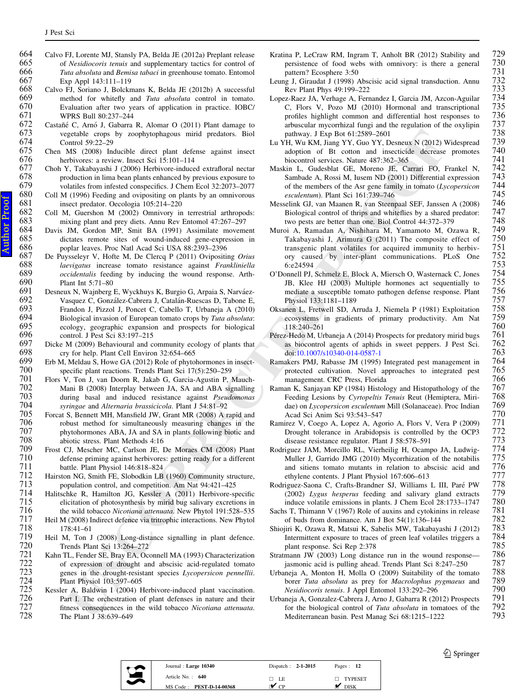- <span id="page-11-0"></span>664 Calvo FJ, Lorente MJ, Stansly PA, Belda JE (2012a) Preplant release<br>665 of *Nesidiocoris tenuis* and supplementary tactics for control of 665 of *Nesidiocoris tenuis* and supplementary tactics for control of 666 Tuta absoluta and Bemisa tabaci in greenhouse tomato. Entomol 666 Tuta absoluta and Bemisa tabaci in greenhouse tomato. Entomol 667 Exp Appl 143:111-119 667 Exp Appl 143:111-119<br>668 Calvo EL Soriano I Bolckr
- 668 Calvo FJ, Soriano J, Bolckmans K, Belda JE (2012b) A successful<br>669 method for whitefly and Tuta absoluta control in tomato 669 method for whitefly and *Tuta absoluta* control in tomato.<br>670 Evaluation after two vears of application in practice. IOBC/ 670 Evaluation after two years of application in practice. IOBC/ 671 WPRS Bull 80:237-244<br>672 Castañé C, Arnó J, Gabarra
- 672 Castañé C, Arnó J, Gabarra R, Alomar O (2011) Plant damage to 673 vegetable crops by zoophytophagous mirid predators. Biol 674 Control 59:22–29<br>675 Chen MS (2008) In
- 675 Chen MS (2008) Inducible direct plant defense against insect 676 herbivores: a review. Insect Sci 15:101–114
- 677 Choh Y, Takabayashi J (2006) Herbivore-induced extrafloral nectar 678 production in lima bean plants enhanced by previous exposure to 678 production in lima bean plants enhanced by previous exposure to 679 volatiles from infested conspecifies. J Chem Ecol 32:2073–2077 volatiles from infested conspecifics. J Chem Ecol 32:2073-2077
- 680 Coll M (1996) Feeding and ovipositing on plants by an omnivorous 681 insect predator. Oecologia 105:214–220 681 insect predator. Oecologia 105:214–220<br>682 Coll M. Guershon M (2002) Omnivory in
- 682 Coll M, Guershon M (2002) Omnivory in terrestrial arthropods:<br>683 mixing plant and prev diets. Annu Rev Entomol 47:267–297 683 mixing plant and prey diets. Annu Rev Entomol 47:267–297
- 684 Davis JM, Gordon MP, Smit BA (1991) Assimilate movement 685 dictates remote sites of wound-induced gene-expression in 686 nonlar leaves Proc Natl Acad Sci USA 88:2393-2396 686 poplar leaves. Proc Natl Acad Sci USA 88:2393–2396
- 687 De Puysseleyr V, Hofte M, De Clercq P (2011) Ovipositing Orius 688 laevigatus increase tomato resistance against Frankliniella  $688$  laevigatus increase tomato resistance against *Frankliniella*  $689$  *occidentalis* feeding by inducing the wound response. Arth- $689$  *occidentalis* feeding by inducing the wound response. Arth-<br> $690$  Plant Int 5:71-80 690 Plant Int 5:71–80<br>691 Desneux N. Wainhero
- probable capacity prophysion<br>probable capacity and the same probable capacity in the same size of 4.1253-260<br>
only discussed in the same size of 4.1253-260<br>
Convention and the same size of 4.25 and 2000 helower labor only 691 Desneux N, Wajnberg E, Wyckhuys K, Burgio G, Arpaia S, Narváez-692 Vasquez C, González-Cabrera J, Catalán-Ruescas D, Tabone E. 692 Vasquez C, González-Cabrera J, Catalán-Ruescas D, Tabone E, 693 Frandon J, Pizzol J, Poncet C, Cabello T, Urbaneia A (2010) 693 Frandon J, Pizzol J, Poncet C, Cabello T, Urbaneja A (2010) 694 Biological invasion of European tomato crops by Tuta absoluta: 694 Biological invasion of European tomato crops by Tuta absoluta:<br>695 ecology, geographic expansion and prospects for biological<br>696 control I Pest Sci 83:197-215 696 control. J Pest Sci 83:197–215<br>697 Dicke M (2009) Behavioural and c
- 697 Dicke M (2009) Behavioural and community ecology of plants that 698 cry for help. Plant Cell Environ 32:654–665<br>699 Erb M. Meldau S. Howe GA (2012) Role of phyto
- 699 Erb M, Meldau S, Howe GA (2012) Role of phytohormones in insect-<br>700 specific plant reactions. Trends Plant Sci 17(5):250–259 700 specific plant reactions. Trends Plant Sci 17(5):250–259<br>701 Flors V. Ton J. van Doorn R. Jakab G. Garcia-Agustin P.
- 701 Flors V, Ton J, van Doorn R, Jakab G, Garcia-Agustin P, Mauch-702 Mani B (2008) Interplay between JA, SA and ABA signalling<br>703 during basal and induced resistance against *Pseudomonas* 703 during basal and induced resistance against *Pseudomonas*<br>704 syringae and *Alternaria brassicicola*. Plant J 54:81-92 704 syringae and *Alternaria brassicicola*. Plant J 54:81–92<br>705 Forcat S. Bennett MH. Mansfield JW. Grant MR (2008) A r
- 705 Forcat S, Bennett MH, Mansfield JW, Grant MR (2008) A rapid and 706 robust method for simultaneously measuring changes in the phytohormones ABA, JA and SA in plants following biotic and 707 phytohormones ABA, JA and SA in plants following biotic and 708 abiotic stress. Plant Methods 4:16<br>709 Frost CL Mescher MC, Carlson JE
- 709 Frost CJ, Mescher MC, Carlson JE, De Moraes CM (2008) Plant 710 defense priming against herbivores: getting ready for a different 711 battle. Plant Physiol 146:818–824 711 battle. Plant Physiol 146:818–824<br>712 Hairston NG, Smith FE, Slobodkin LB
- 712 Hairston NG, Smith FE, Slobodkin LB (1960) Community structure,<br>713 hope to prove that the control, and competition. Am Nat 94:421–425 713 population control, and competition. Am Nat 94:421–425<br>714 Halitschke R, Hamilton JG, Kessler A (2011) Herbivore-st
- Halitschke R, Hamilton JG, Kessler A (2011) Herbivore-specific 715 elicitation of photosynthesis by mirid bug salivary excretions in 716 the wild tobacco Nicotiana attenuata. New Phytol 191:528–535
- 716 the wild tobacco *Nicotiana attenuata*. New Phytol 191:528–535<br>717 Heil M (2008) Indirect defence via tritrophic interactions. New Phytol 717 Heil M (2008) Indirect defence via tritrophic interactions. New Phytol 718 178:41–61<br>719 Heil M. Ton J
- 719 Heil M, Ton J (2008) Long-distance signalling in plant defence. 720 Trends Plant Sci 13:264–272<br>721 Kahn TL, Fender SE, Bray EA, Oce
- 721 Kahn TL, Fender SE, Bray EA, Oconnell MA (1993) Characterization 722 of expression of drought and abscisic acid-regulated tomato 723 eenes in the drought-resistant species *Lycopersicon pennellii*. 723 genes in the drought-resistant species Lycopersicon pennellii. 724 Plant Physiol 103:597–605<br>725 Kessler A, Baldwin I (2004) E
- 725 Kessler A, Baldwin I (2004) Herbivore-induced plant vaccination. 726 Part I. The orchestration of plant defenses in nature and their 727 fitness consequences in the wild tobacco Nicotiana attenuata. The Technology of the consequences in the wild tobacco Nicotiana attenuata. 728 The Plant J 38:639–649
- Kratina P, LeCraw RM, Ingram T, Anholt BR (2012) Stability and 729 persistence of food webs with omnivory: is there a general 730 persistence of food webs with omnivory: is there a general 730 pattern? Ecosphere 3:50 731 pattern? Ecosphere 3:50 731<br>ng J. Giraudat J (1998) Abscisic acid signal transduction. Annu 732
- Leung J, Giraudat J (1998) Abscisic acid signal transduction. Annu 732 Rev Plant Phys 49:199–222<br>27 Paez JA Verhage A Fernandez I Garcia JM Azcon-Aguilar 734
- Lopez-Raez JA, Verhage A, Fernandez I, Garcia JM, Azcon-Aguilar 734 C, Flors V, Pozo MJ (2010) Hormonal and transcriptional 735 profiles highlight common and differential host responses to 736 profiles highlight common and differential host responses to 736 arbuscular mycorrhizal fungi and the regulation of the oxylipin 737 arbuscular mycorrhizal fungi and the regulation of the oxylipin 737<br>pathway. J Exp Bot 61:2589–2601 738 pathway. J Exp Bot 61:2589–2601 738
- Lu YH, Wu KM, Jiang YY, Guo YY, Desneux N (2012) Widespread 739 adoption of Bt cotton and insecticide decrease promotes 740<br>biocontrol services. Nature 487:362-365 741 biocontrol services. Nature 487:362–365<br>
xin L. Gudesblat GE. Moreno JE. Carrari FO. Frankel N. 742
- Maskin L, Gudesblat GE, Moreno JE, Carrari FO, Frankel N, 742<br>Sambade A, Rossi M, Jusem ND (2001) Differential expression 743 Sambade A, Rossi M, Iusem ND (2001) Differential expression 743 of the members of the Asr gene family in tomato (Lyconersicon 744 of the members of the Asr gene family in tomato (Lycopersicon esculentum). Plant Sci 161:739–746<br>Selink GJ, van Maanen R, van Steenpaal SEF, Janssen A (2008) 746
- Messelink GJ, van Maanen R, van Steenpaal SEF, Janssen A (2008) 746 Biological control of thrips and whiteflies by a shared predator: 747<br>two pests are better than one. Biol Control 44:372–379 748 two pests are better than one. Biol Control 44:372–379 748<br>oi A. Ramadan A. Nishihara M. Yamamoto M. Ozawa R. 749
- Muroi A, Ramadan A, Nishihara M, Yamamoto M, Ozawa R, 749 Takabayashi J, Arimura G (2011) The composite effect of 750 transgenic plant volatiles for acquired immunity to herbiv-<br>ory caused by inter-plant communications. PLoS One 752 ory caused by inter-plant communications. PLoS One 752 6:e24594 753
- O'Donnell PJ, Schmelz E, Block A, Miersch O, Wasternack C, Jones 754 JB, Klee HJ (2003) Multiple hormones act sequentially to 755 mediate a susceptible tomato pathogen defense response. Plant 756 mediate a susceptible tomato pathogen defense response. Plant 756<br>Physiol 133:1181–1189 Physiol 133:1181–1189<br>157 men L. Fretwell SD. Arruda J. Niemela P (1981) Exploitation
- Oksanen L, Fretwell SD, Arruda J, Niemela P (1981) Exploitation 758 ecosystems in gradients of primary productivity. Am Nat 759 118:240–261 760 Pe´rez-Hedo M, Urbaneja A (2014) Prospects for predatory mirid bugs 761
- as biocontrol agents of aphids in sweet peppers. J Pest Sci.  $762$ <br>doi:10.1007/s10340-014-0587-1 763 doi[:10.1007/s10340-014-0587-1](http://dx.doi.org/10.1007/s10340-014-0587-1)<br>akers PMJ, Rabasse JM (1995) Integrated pest management in 764
- Ramakers PMJ, Rabasse JM (1995) Integrated pest management in 764<br>protected cultivation. Novel approaches to integrated pest 765 protected cultivation. Novel approaches to integrated pest 765<br>management. CRC Press. Florida 766 management. CRC Press, Florida<br>an K. Saniavan KP (1984) Histology and Histopathology of the 767
- Raman K, Sanjayan KP (1984) Histology and Histopathology of the 767<br>Feeding Lesions by Cyrtopeltis Tenuis Reut (Hemiptera, Miri-768) Feeding Lesions by Cyrtopeltis Tenuis Reut (Hemiptera, Miri-768 dae) on Lycopersicon esculentum Mill (Solanaceae). Proc Indian 769 dae) on *Lycopersicon esculentum* Mill (Solanaceae). Proc Indian 769<br>Acad Sci Anim Sci 93:543–547 770 Acad Sci Anim Sci 93:543–547<br>irez V. Coego A. Lopez A. Agorio A. Flors V. Vera P (2009) 771
- Ramirez V, Coego A, Lopez A, Agorio A, Flors V, Vera P (2009) 771<br>Drought tolerance in Arabidopsis is controlled by the OCP3 772 Drought tolerance in Arabidopsis is controlled by the OCP3 772<br>disease resistance regulator. Plant J 58:578–591 773 disease resistance regulator. Plant J 58:578–591 773<br>
Transport JAM Morcillo RI Vierbeilig H Ocampo JA Ludwig 774
- Rodriguez JAM, Morcillo RL, Vierheilig H, Ocampo JA, Ludwig-<br>Muller J, Garrido JMG (2010) Mycorrhization of the notabilis 775 Muller J, Garrido JMG (2010) Mycorrhization of the notabilis 775 and sitiens tomato mutants in relation to abscisic acid and 776 and sitiens tomato mutants in relation to abscisic acid and 776<br>ethylene contents. J Plant Physiol 167:606–613 777 ethylene contents. J Plant Physiol 167:606–613 777<br>
iguez-Saona C. Crafts-Brandner SJ, Williams L III, Paré PW 778
- Rodriguez-Saona C, Crafts-Brandner SJ, Williams L III, Paré PW 778<br>(2002) Lygus hesperus feeding and salivary gland extracts 779  $(2002)$  Lygus hesperus feeding and salivary gland extracts induce volatile emissions in plants. J Chem Ecol 28:1733–1747 780<br>s T. Thimann V (1967) Role of auxins and cytokinins in release 781
- Sachs T, Thimann V (1967) Role of auxins and cytokinins in release 781 of buds from dominance. Am J Bot 54(1):136–144 782 of buds from dominance. Am J Bot 54(1):136–144 782<br>
iiri K. Ozawa R. Matsui K. Sabelis MW, Takabayashi J (2012) 783
- Shiojiri K, Ozawa R, Matsui K, Sabelis MW, Takabayashi J (2012) 783 Intermittent exposure to traces of green leaf volatiles triggers a 784<br>plant response. Sci Rep 2:378 785 plant response. Sci Rep 2:378
- Stratmann JW (2003) Long distance run in the wound response— 786 jasmonic acid is pulling ahead. Trends Plant Sci 8:247–250 787
- Urbaneja A, Monton H, Molla O (2009) Suitability of the tomato 788<br>borer *Tuta absoluta* as prev for *Macrolophus pyemaeus* and 789 borer *Tuta absoluta* as prey for *Macrolophus pygmaeus* and 789<br>*Nesidiocoris tenuis*, J Appl Entomol 133:292–296 790 Nesidiocoris tenuis. J Appl Entomol 133:292–296 790<br>neia A. Gonzalez-Cabrera J. Arno J. Gabarra R (2012) Prospects 791
- Urbaneja A, Gonzalez-Cabrera J, Arno J, Gabarra R (2012) Prospects 791 for the biological control of *Tuta absoluta* in tomatoes of the 792 for the biological control of *Tuta absoluta* in tomatoes of the 792<br>Mediterranean basin. Pest Manag Sci 68:1215–1222 793 Mediterranean basin. Pest Manag Sci 68:1215–1222



| Journal: Large 10340            | Dispatch: $2-1-2015$ | Pages: 12      |
|---------------------------------|----------------------|----------------|
| Article No.: 640                | - LE                 | <b>TYPESET</b> |
| MS Code: <b>PEST-D-14-00368</b> | $\overline{CD}$      | <b>DISK</b>    |

Author ProofProof

Author